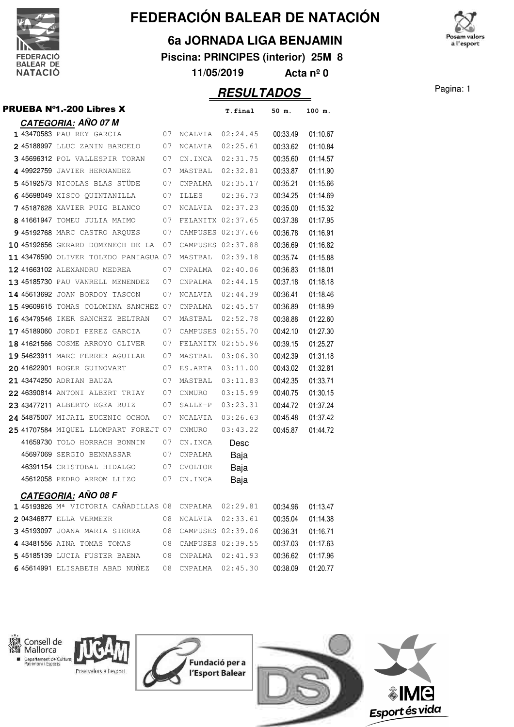

#### **6a JORNADA LIGA BENJAMIN**

**Piscina: PRINCIPES (interior) 25M 8**

**11/05/2019 Acta nº 0**

### **RESULTADOS** Pagina: 1

|  | <b>PRUEBA N°1.-200 Libres X</b>        |    |                   | T.final           | 50 m.    | 100 m.   |
|--|----------------------------------------|----|-------------------|-------------------|----------|----------|
|  | <b>CATEGORIA: AÑO 07 M</b>             |    |                   |                   |          |          |
|  | 07<br>1 43470583 PAU REY GARCIA        |    |                   | NCALVIA 02:24.45  | 00:33.49 | 01:10.67 |
|  | 2 45188997 LLUC ZANIN BARCELO          | 07 |                   | NCALVIA 02:25.61  | 00:33.62 | 01:10.84 |
|  | 3 45696312 POL VALLESPIR TORAN         | 07 | CN.INCA           | 02:31.75          | 00:35.60 | 01:14.57 |
|  | 4 49922759 JAVIER HERNANDEZ            | 07 | MASTBAL           | 02:32.81          | 00:33.87 | 01:11.90 |
|  | 5 45192573 NICOLAS BLAS STÜDE          | 07 | CNPALMA           | 02:35.17          | 00:35.21 | 01:15.66 |
|  | 645698049 XISCO QUINTANILLA            | 07 | ILLES             | 02:36.73          | 00:34.25 | 01:14.69 |
|  | 7 45187628 XAVIER PUIG BLANCO          | 07 | NCALVIA 02:37.23  |                   | 00:35.00 | 01:15.32 |
|  | 8 41661947 TOMEU JULIA MAIMO           | 07 | FELANITX 02:37.65 |                   | 00:37.38 | 01:17.95 |
|  | <b>9 45192768</b> MARC CASTRO ARQUES   | 07 |                   | CAMPUSES 02:37.66 | 00:36.78 | 01:16.91 |
|  | 10 45192656 GERARD DOMENECH DE LA 07   |    |                   | CAMPUSES 02:37.88 | 00:36.69 | 01:16.82 |
|  | 11 43476590 OLIVER TOLEDO PANIAGUA 07  |    | MASTBAL           | 02:39.18          | 00:35.74 | 01:15.88 |
|  | 12 41663102 ALEXANDRU MEDREA           | 07 |                   | CNPALMA 02:40.06  | 00:36.83 | 01:18.01 |
|  | 13 45185730 PAU VANRELL MENENDEZ 07    |    | CNPALMA           | 02:44.15          | 00:37.18 | 01:18.18 |
|  | 14 45613692 JOAN BORDOY TASCON         | 07 | NCALVIA           | 02:44.39          | 00:36.41 | 01:18.46 |
|  | 15 49609615 TOMAS COLOMINA SANCHEZ 07  |    | CNPALMA           | 02:45.57          | 00:36.89 | 01:18.99 |
|  | 16 43479546 IKER SANCHEZ BELTRAN       | 07 | MASTBAL           | 02:52.78          | 00:38.88 | 01:22.60 |
|  | <b>17 45189060</b> JORDI PEREZ GARCIA  | 07 | CAMPUSES 02:55.70 |                   | 00:42.10 | 01:27.30 |
|  | <b>18 41621566</b> cosme arroyo oliver | 07 |                   | FELANITX 02:55.96 | 00:39.15 | 01:25.27 |
|  | <b>19 54623911</b> MARC FERRER AGUILAR | 07 | MASTBAL           | 03:06.30          | 00:42.39 | 01:31.18 |
|  | 20 41622901 ROGER GUINOVART            | 07 | ES.ARTA           | 03:11.00          | 00:43.02 | 01:32.81 |
|  | 21 43474250 ADRIAN BAUZA               | 07 | MASTBAL           | 03:11.83          | 00:42.35 | 01:33.71 |
|  | 22 46390814 ANTONI ALBERT TRIAY        | 07 | CNMURO            | 03:15.99          | 00:40.75 | 01:30.15 |
|  | 23 43477211 ALBERTO EGEA RUIZ          | 07 | SALLE-P           | 03:23.31          | 00:44.72 | 01:37.24 |
|  | 24 54875007 MIJAIL EUGENIO OCHOA       | 07 | NCALVIA           | 03:26.63          | 00:45.48 | 01:37.42 |
|  | 25 41707584 MIQUEL LLOMPART FOREJT 07  |    | CNMURO            | 03:43.22          | 00:45.87 | 01:44.72 |
|  | 41659730 TOLO HORRACH BONNIN           | 07 | CN.INCA           | Desc              |          |          |
|  | 45697069 SERGIO BENNASSAR              | 07 | CNPALMA           | Baja              |          |          |
|  | 46391154 CRISTOBAL HIDALGO             | 07 | CVOLTOR           | Baja              |          |          |
|  | 45612058 PEDRO ARROM LLIZO             | 07 | CN.INCA           | Baja              |          |          |
|  | <u>CATEGORIA:</u> AÑO 08 F             |    |                   |                   |          |          |
|  | 1 45193826 Mª VICTORIA CAÑADILLAS 08   |    | CNPALMA           | 02:29.81          | 00:34.96 | 01:13.47 |
|  | 2 04346877 ELLA VERMEER                | 08 | NCALVIA           | 02:33.61          | 00:35.04 | 01:14.38 |
|  | 3 45193097 JOANA MARIA SIERRA          | 08 | CAMPUSES 02:39.06 |                   | 00:36.31 | 01:16.71 |
|  | 4 43481556 AINA TOMAS TOMAS            | 08 | CAMPUSES 02:39.55 |                   | 00:37.03 | 01:17.63 |
|  | 5 45185139 LUCIA FUSTER BAENA          | 08 | CNPALMA           | 02:41.93          | 00:36.62 | 01:17.96 |
|  | 6 45614991 ELISABETH ABAD NUÑEZ        | 08 | CNPALMA           | 02:45.30          | 00:38.09 | 01:20.77 |



Departament de Cultura, Posa valors a l'esport







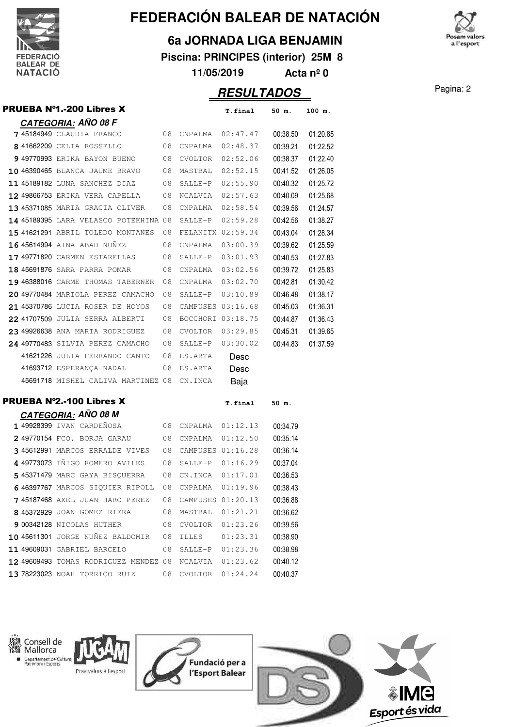

#### **6a JORNADA LIGA BENJAMIN**

**Piscina: PRINCIPES (interior) 25M 8**

**11/05/2019 Acta nº 0**

### Pagina: 2 **RESULTADOS**

|  | <b>PRUEBA N°1.-200 Libres X</b>                                            |    |                                 | T.final              | 50 m.                | 100 m.   |
|--|----------------------------------------------------------------------------|----|---------------------------------|----------------------|----------------------|----------|
|  | <b>CATEGORIA: AÑO 08 F</b>                                                 |    |                                 |                      |                      |          |
|  | 7 45184949 CLAUDIA FRANCO                                                  |    | 08 CNPALMA                      | 02:47.47             | 00:38.50             | 01:20.85 |
|  | 8 41662209 CELIA ROSSELLO                                                  | 08 | CNPALMA                         | 02:48.37             | 00:39.21             | 01:22.52 |
|  | <b>9 49770993</b> ERIKA BAYON BUENO                                        | 08 | CVOLTOR                         | 02:52.06             | 00:38.37             | 01:22.40 |
|  | 10 46390465 blanca jaume bravo                                             | 08 | MASTBAL                         | 02:52.15             | 00:41.52             | 01:26.05 |
|  | 11 45189182 LUNA SANCHEZ DIAZ                                              | 08 | SALLE-P                         | 02:55.90             | 00:40.32             | 01:25.72 |
|  | <b>12 49866753</b> ERIKA VERA CAPELLA                                      | 08 | NCALVIA                         | 02:57.63             | 00:40.09             | 01:25.68 |
|  | 13 45371085 MARIA GRACIA OLIVER                                            | 08 | CNPALMA                         | 02:58.54             | 00:39.56             | 01:24.57 |
|  | 14 45189395 LARA VELASCO POTEKHINA 08                                      |    | SALLE-P                         | 02:59.28             | 00:42.56             | 01:38.27 |
|  | 15 41621291 ABRIL TOLEDO MONTAÑES                                          | 08 |                                 | FELANITX 02:59.34    | 00:43.04             | 01:28.34 |
|  | 16 45614994 AINA ABAD NUNEZ                                                | 08 | CNPALMA                         | 03:00.39             | 00:39.62             | 01:25.59 |
|  | <b>17 49771820</b> CARMEN ESTARELLAS                                       | 08 | SALLE-P                         | 03:01.93             | 00:40.53             | 01:27.83 |
|  | 18 45691876 SARA PARRA POMAR                                               | 08 | CNPALMA                         | 03:02.56             | 00:39.72             | 01:25.83 |
|  | 19 46388016 CARME THOMAS TABERNER                                          | 08 | CNPALMA                         | 03:02.70             | 00:42.81             | 01:30.42 |
|  | 20 49770484 MARIOLA PEREZ CAMACHO                                          | 08 | SALLE-P                         | 03:10.89             | 00:46.48             | 01:38.17 |
|  | 21 45370786 LUCIA ROSER DE HOYOS                                           | 08 |                                 | CAMPUSES 03:16.68    | 00:45.03             | 01:36.31 |
|  | 22 41707509 JULIA SERRA ALBERTI                                            | 08 |                                 | BOCCHORI 03:18.75    | 00:44.87             | 01:36.43 |
|  | 23 49926638 ANA MARIA RODRIGUEZ                                            | 08 | CVOLTOR                         | 03:29.85             | 00:45.31             | 01:39.65 |
|  | 24 49770483 SILVIA PEREZ CAMACHO                                           | 08 | SALLE-P                         | 03:30.02             | 00:44.83             | 01:37.59 |
|  | 41621226 JULIA FERRANDO CANTO                                              | 08 | ES.ARTA                         | Desc                 |                      |          |
|  | 41693712 ESPERANÇA NADAL                                                   | 08 | ES.ARTA                         | Desc                 |                      |          |
|  | 45691718 MISHEL CALIVA MARTINEZ 08 CN.INCA                                 |    |                                 | Baja                 |                      |          |
|  | <b>PRUEBA N°2.-100 Libres X</b>                                            |    |                                 | T.final              | 50 m.                |          |
|  | <b>CATEGORIA: AÑO 08 M</b><br><b>1 49928399</b> IVAN CARDEÑOSA             |    | 08 CNPALMA                      | 01:12.13             | 00:34.79             |          |
|  | 2 49770154 FCO. BORJA GARAU                                                | 08 | CNPALMA                         | 01:12.50             | 00:35.14             |          |
|  | 3 45612991 MARCOS ERRALDE VIVES                                            | 08 |                                 | CAMPUSES 01:16.28    | 00:36.14             |          |
|  | 4 49773073 IÑIGO ROMERO AVILES                                             | 08 | SALLE-P                         | 01:16.29             | 00:37.04             |          |
|  | 5 45371479 MARC GAYA BISQUERRA                                             | 08 |                                 | CN.INCA 01:17.01     | 00:36.53             |          |
|  |                                                                            | 08 |                                 |                      | 00:38.43             |          |
|  | 6 46397767 MARCOS SIQUIER RIPOLL<br><b>7 45187468</b> AXEL JUAN HARO PEREZ |    | CNPALMA<br>08 CAMPUSES 01:20.13 | 01:19.96             | 00:36.88             |          |
|  | 8 45372929 JOAN GOMEZ RIERA                                                | 08 |                                 | MASTBAL 01:21.21     | 00:36.62             |          |
|  |                                                                            |    |                                 |                      |                      |          |
|  | <b>9 00342128</b> NICOLAS HUTHER<br>10 45611301 JORGE NUÑEZ BALDOMIR       | 08 | CVOLTOR                         | 01:23.26             | 00:39.56             |          |
|  | 11 49609031 GABRIEL BARCELO                                                | 08 | ILLES                           | 01:23.31             | 00:38.90             |          |
|  | 12 49609493 TOMAS RODRIGUEZ MENDEZ 08                                      | 08 | SALLE-P<br>NCALVIA              | 01:23.36<br>01:23.62 | 00:38.98<br>00:40.12 |          |
|  | 13 78223023 NOAH TORRICO RUIZ 08 CVOLTOR 01:24.24                          |    |                                 |                      | 00:40.37             |          |
|  |                                                                            |    |                                 |                      |                      |          |

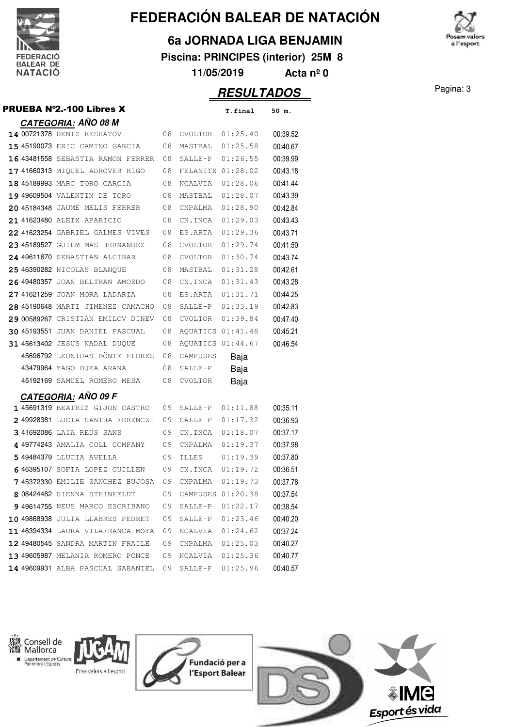

#### **6a JORNADA LIGA BENJAMIN**

**Piscina: PRINCIPES (interior) 25M 8**

**11/05/2019 Acta nº 0**

## **RESULTADOS** Pagina: 3

|  | <b>PRUEBA N°2.-100 Libres X</b>        |    |                   | T.final  | 50 m.    |
|--|----------------------------------------|----|-------------------|----------|----------|
|  | <b>CATEGORIA: AÑO 08 M</b>             |    |                   |          |          |
|  | 14 00721378 DENIZ RESHATOV             | 08 | CVOLTOR           | 01:25.40 | 00:39.52 |
|  | 15 45190073 ERIC CAMINO GARCIA         | 08 | MASTBAL 01:25.58  |          | 00:40.67 |
|  | 16 43481558 SEBASTIA RAMON FERRER      | 08 | SALLE-P           | 01:26.55 | 00:39.99 |
|  | 17 41660313 MIQUEL ADROVER RIGO        | 08 | FELANITX 01:28.02 |          | 00:43.18 |
|  | 18 45189993 MARC TORO GARCIA           | 08 | NCALVIA           | 01:28.06 | 00:41.44 |
|  | 19 49609504 VALENTIN DE TORO           | 08 | MASTBAL           | 01:28.07 | 00:43.39 |
|  | 20 45184348 JAUME MELIS FERRER         | 08 | CNPALMA           | 01:28.90 | 00:42.84 |
|  | 21 41623480 ALEIX APARICIO             | 08 | CN.INCA           | 01:29.03 | 00:43.43 |
|  | 22 41623254 GABRIEL GALMES VIVES       | 08 | ES.ARTA           | 01:29.36 | 00:43.71 |
|  | 23 45189527 GUIEM MAS HERNANDEZ        | 08 | CVOLTOR           | 01:29.74 | 00:41.50 |
|  | 24 49611670 SEBASTIAN ALCIBAR          | 08 | <b>CVOLTOR</b>    | 01:30.74 | 00:43.74 |
|  | 25 46390282 NICOLAS BLANQUE            | 08 | MASTBAL           | 01:31.28 | 00:42.61 |
|  | 26 49480357 JOAN BELTRAN AMOEDO        | 08 | CN.INCA           | 01:31.43 | 00:43.28 |
|  | 27 41621259 JOAN MORA LADARIA          | 08 | ES.ARTA           | 01:31.71 | 00:44.25 |
|  | 28 45190648 MARTI JIMENEZ CAMACHO      | 08 | SALLE-P           | 01:33.19 | 00:42.83 |
|  | 29 00589267 CRISTIAN EMILOV DINEV      | 08 | CVOLTOR           | 01:39.84 | 00:47.40 |
|  | <b>30 45193551 JUAN DANIEL PASCUAL</b> | 08 | AQUATICS 01:41.48 |          | 00:45.21 |
|  | 31 45613402 JESUS NADAL DUQUE          | 08 | AQUATICS 01:44.67 |          | 00:46.54 |
|  | 45696792 LEONIDAS BÖNTE FLORES         | 08 | CAMPUSES          | Baja     |          |
|  | 43479964 YAGO OJEA ARANA               | 08 | SALLE-P           | Baja     |          |
|  | 45192169 SAMUEL ROMERO MESA            | 08 | CVOLTOR           | Baja     |          |
|  | <u>CATEGORIA:</u> AÑO 09 F             |    |                   |          |          |
|  | 1 45691319 BEATRIZ GIJON CASTRO        | 09 | SALLE-P           | 01:11.88 | 00:35.11 |
|  | 249928381 LUCIA SANTHA FERENCZI        | 09 | SALLE-P           | 01:17.32 | 00:36.93 |
|  | 341692086 LAIA REUS SANS               | 09 | CN.INCA           | 01:18.07 | 00:37.17 |
|  | 4 49774243 AMALIA COLL COMPANY         | 09 | CNPALMA           | 01:19.37 | 00:37.98 |
|  | 5 49484379 LLUCIA AVELLA               | 09 | ILLES             | 01:19.39 | 00:37.80 |
|  | 6 46395107 SOFIA LOPEZ GUILLEN         | 09 | CN.INCA           | 01:19.72 | 00:36.51 |
|  | <b>745372330</b> EMILIE SANCHEZ BUJOSA | 09 | CNPALMA           | 01:19.73 | 00:37.78 |
|  | 8 08424482 SIENNA STEINFELDT           | 09 | CAMPUSES 01:20.38 |          | 00:37.54 |
|  | 9 49614755 NEUS MARCO ESCRIBANO        | 09 | SALLE-P           | 01:22.17 | 00:38.54 |
|  | 10 49868938 JULIA LLABRES PEDRET       | 09 | SALLE-P           | 01:23.46 | 00:40.20 |
|  | 11 46394334 LAURA VILAFRANCA MOYA      | 09 | NCALVIA           | 01:24.62 | 00:37.24 |
|  | 12 49480545 SANDRA MARTIN FRAILE       | 09 | CNPALMA           | 01:25.03 | 00:40.27 |
|  | 13 49605987 MELANIA ROMERO PONCE       | 09 | NCALVIA           | 01:25.36 | 00:40.77 |
|  | 14 49609931 ALBA PASCUAL SABANIEL      | 09 | SALLE-P           | 01:25.96 | 00:40.57 |
|  |                                        |    |                   |          |          |



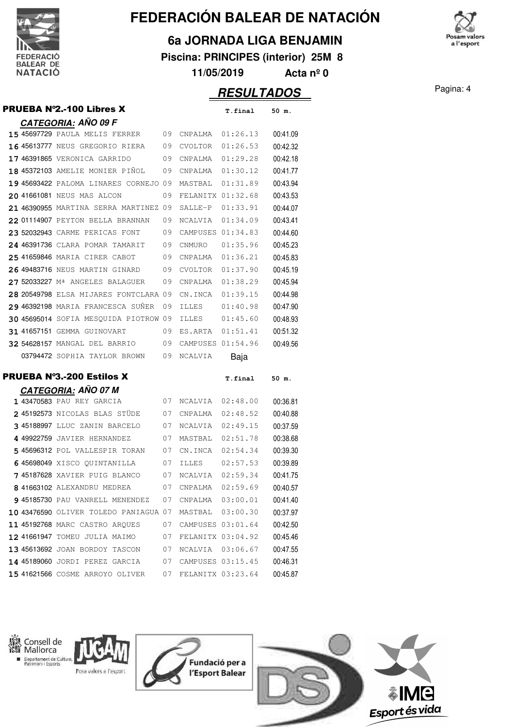

×

# **FEDERACIÓN BALEAR DE NATACIÓN**

#### **6a JORNADA LIGA BENJAMIN**

**Piscina: PRINCIPES (interior) 25M 8**

**11/05/2019 Acta nº 0**

## **RESULTADOS** Pagina: 4

| PRUEBA N°2.-100 Libres X                                          |          |                   | T.final           | 50 m.                |
|-------------------------------------------------------------------|----------|-------------------|-------------------|----------------------|
| CATEGORIA: AÑO 09 F                                               |          |                   |                   |                      |
| <b>15 45697729 PAULA MELIS FERRER</b> 09                          |          | CNPALMA 01:26.13  |                   | 00:41.09             |
| 16 45613777 NEUS GREGORIO RIERA 09                                |          | CVOLTOR           | 01:26.53          | 00:42.32             |
| 17 46391865 VERONICA GARRIDO<br>09                                |          | CNPALMA           | 01:29.28          | 00:42.18             |
| 18 45372103 AMELIE MONIER PIÑOL                                   | 09       | CNPALMA           | 01:30.12          | 00:41.77             |
| 19 45693422 PALOMA LINARES CORNEJO 09                             |          | MASTBAL           | 01:31.89          | 00:43.94             |
| 20 41661081 NEUS MAS ALCON                                        | 09       | FELANITX 01:32.68 |                   | 00:43.53             |
| 21 46390955 MARTINA SERRA MARTINEZ 09                             |          | SALLE-P           | 01:33.91          | 00:44.07             |
| <b>22 01114907</b> PEYTON BELLA BRANNAN                           | 09       | NCALVIA           | 01:34.09          | 00:43.41             |
| 23 52032943 CARME PERICAS FONT                                    | 09       | CAMPUSES 01:34.83 |                   | 00:44.60             |
| 24 46391736 CLARA POMAR TAMARIT<br>09                             |          | CNMURO            | 01:35.96          | 00:45.23             |
| 25 41659846 MARIA CIRER CABOT                                     | - 09     | CNPALMA           | 01:36.21          | 00:45.83             |
| 26 49483716 NEUS MARTIN GINARD                                    | 09       | CVOLTOR           | 01:37.90          | 00:45.19             |
| 27 52033227 M <sup>ª</sup> ANGELES BALAGUER                       | 09       | CNPALMA           | 01:38.29          | 00:45.94             |
| 28 20549798 ELSA MIJARES FONTCLARA 09                             |          | CN.INCA           | 01:39.15          | 00:44.98             |
| 29 46392198 MARIA FRANCESCA SUNER                                 | 09       | <b>ILLES</b>      | 01:40.98          | 00:47.90             |
| 30 45695014 SOFIA MESQUIDA PIOTROW 09                             |          | ILLES             | 01:45.60          | 00:48.93             |
| <b>31 41657151 GEMMA GUINOVART</b>                                | 09       | ES.ARTA           | 01:51.41          | 00:51.32             |
| 32 54628157 MANGAL DEL BARRIO 09                                  |          | CAMPUSES 01:54.96 |                   | 00:49.56             |
| 03794472 SOPHIA TAYLOR BROWN 09                                   |          | NCALVIA           | Baja              |                      |
|                                                                   |          |                   |                   |                      |
| <b>PRUEBA N°3.-200 Estilos X</b>                                  |          |                   | T.final           | 50 m.                |
| <u>CATEGOR</u> IA: AÑO 07 M                                       |          |                   |                   |                      |
| 1 43470583 PAU REY GARCIA                                         | 07       | NCALVIA           | 02:48.00          | 00:36.81             |
| 2 45192573 NICOLAS BLAS STÜDE                                     | 07       | CNPALMA           | 02:48.52          | 00:40.88             |
| 3 45188997 LLUC ZANIN BARCELO                                     | 07       | NCALVIA           | 02:49.15          | 00:37.59             |
| 4 49922759 JAVIER HERNANDEZ                                       | 07       | MASTBAL           | 02:51.78          | 00:38.68             |
| 545696312 POL VALLESPIR TORAN                                     | 07       | CN.INCA           | 02:54.34          | 00:39.30             |
| 645698049 XISCO QUINTANILLA                                       | 07       | ILLES             | 02:57.53          | 00:39.89             |
| 745187628 XAVIER PUIG BLANCO 07                                   |          | NCALVIA 02:59.34  |                   | 00:41.75             |
| 8 41663102 ALEXANDRU MEDREA                                       | 07       | CNPALMA           | 02:59.69          | 00:40.57             |
| 9 45185730 PAU VANRELL MENENDEZ                                   | 07       | CNPALMA           | 03:00.01          | 00:41.40             |
| 10 43476590 OLIVER TOLEDO PANIAGUA 07                             |          | MASTBAL 03:00.30  |                   | 00:37.97             |
| 11 45192768 MARC CASTRO AROUES                                    | 07       | CAMPUSES 03:01.64 |                   | 00:42.50             |
| 12 41661947 TOMEU JULIA MAIMO                                     | 07       | FELANITX 03:04.92 |                   | 00:45.46             |
| 13 45613692 JOAN BORDOY TASCON                                    | 07       | NCALVIA 03:06.67  |                   | 00:47.55             |
|                                                                   |          |                   |                   |                      |
| 14 45189060 JORDI PEREZ GARCIA<br>15 41621566 COSME ARROYO OLIVER | 07<br>07 | CAMPUSES 03:15.45 | FELANITX 03:23.64 | 00:46.31<br>00:45.87 |

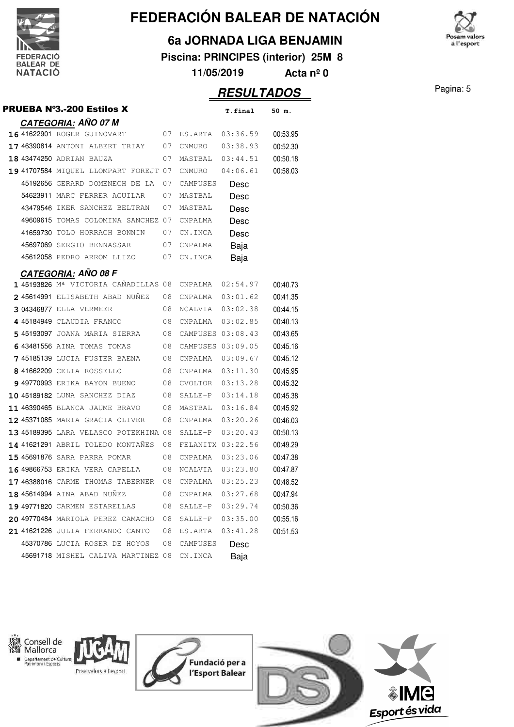

×

# **FEDERACIÓN BALEAR DE NATACIÓN**

#### **6a JORNADA LIGA BENJAMIN**

**Piscina: PRINCIPES (interior) 25M 8**

**11/05/2019 Acta nº 0**

## **RESULTADOS** Pagina: 5

|  | <b>PRUEBA Nº3.-200 Estilos X</b>       |    |                   | T.final           | 50 m.    |
|--|----------------------------------------|----|-------------------|-------------------|----------|
|  | <b>CATEGORIA: AÑO 07 M</b>             |    |                   |                   |          |
|  | 16 41622901 ROGER GUINOVART<br>07      |    | ES.ARTA           | 03:36.59          | 00:53.95 |
|  | 17 46390814 ANTONI ALBERT TRIAY        | 07 | CNMURO            | 03:38.93          | 00:52.30 |
|  | 18 43474250 ADRIAN BAUZA               | 07 | MASTBAL           | 03:44.51          | 00:50.18 |
|  | 19 41707584 MIQUEL LLOMPART FOREJT 07  |    | CNMURO            | 04:06.61          | 00:58.03 |
|  | 45192656 GERARD DOMENECH DE LA         | 07 | CAMPUSES          | Desc              |          |
|  | 54623911 MARC FERRER AGUILAR           | 07 | MASTBAL           | Desc              |          |
|  | 43479546 IKER SANCHEZ BELTRAN          | 07 | MASTBAL           | Desc              |          |
|  | 49609615 TOMAS COLOMINA SANCHEZ 07     |    | CNPALMA           | Desc              |          |
|  | 41659730 TOLO HORRACH BONNIN           | 07 | CN.INCA           | Desc              |          |
|  | 45697069 SERGIO BENNASSAR<br>07        |    | CNPALMA           | Baja              |          |
|  | 45612058 PEDRO ARROM LLIZO 07          |    | CN.INCA           | Baja              |          |
|  | <u>CATEGORIA:</u> AÑO 08 F             |    |                   |                   |          |
|  | 1 45193826 Mª VICTORIA CAÑADILLAS 08   |    |                   | CNPALMA 02:54.97  | 00:40.73 |
|  | 245614991 ELISABETH ABAD NUÑEZ         | 08 |                   | CNPALMA 03:01.62  | 00:41.35 |
|  | 3 04346877 ELLA VERMEER                | 08 |                   | NCALVIA 03:02.38  | 00:44.15 |
|  | 4 45184949 CLAUDIA FRANCO              | 08 | CNPALMA           | 03:02.85          | 00:40.13 |
|  | 5 45193097 JOANA MARIA SIERRA          | 08 |                   | CAMPUSES 03:08.43 | 00:43.65 |
|  | 643481556 AINA TOMAS TOMAS             | 08 | CAMPUSES 03:09.05 |                   | 00:45.16 |
|  | <b>7 45185139</b> LUCIA FUSTER BAENA   | 08 | CNPALMA           | 03:09.67          | 00:45.12 |
|  | 841662209 CELIA ROSSELLO               | 08 | CNPALMA  03:11.30 |                   | 00:45.95 |
|  | <b>9 49770993 ERIKA BAYON BUENO</b>    | 08 | CVOLTOR           | 03:13.28          | 00:45.32 |
|  | 10 45189182 LUNA SANCHEZ DIAZ          | 08 | SALLE-P           | 03:14.18          | 00:45.38 |
|  | 11 46390465 BLANCA JAUME BRAVO         | 08 | MASTBAL           | 03:16.84          | 00:45.92 |
|  | <b>12 45371085</b> MARIA GRACIA OLIVER | 08 | CNPALMA 03:20.26  |                   | 00:46.03 |
|  | 13 45189395 LARA VELASCO POTEKHINA 08  |    |                   | SALLE-P 03:20.43  | 00:50.13 |
|  | 14 41621291 ABRIL TOLEDO MONTANES      | 08 | FELANITX 03:22.56 |                   | 00:49.29 |
|  | 15 45691876 SARA PARRA POMAR           | 08 | CNPALMA           | 03:23.06          | 00:47.38 |
|  | 16 49866753 ERIKA VERA CAPELLA         | 08 |                   | NCALVIA 03:23.80  | 00:47.87 |
|  | 17 46388016 CARME THOMAS TABERNER      | 08 | CNPALMA           | 03:25.23          | 00:48.52 |
|  | 18 45614994 AINA ABAD NUNEZ            | 08 | CNPALMA           | 03:27.68          | 00:47.94 |
|  | 19 49771820 CARMEN ESTARELLAS          | 08 | SALLE-P           | 03:29.74          | 00:50.36 |
|  | 20 49770484 MARIOLA PEREZ CAMACHO      | 08 | SALLE-P           | 03:35.00          | 00:55.16 |
|  | 21 41621226 JULIA FERRANDO CANTO       | 08 | ES.ARTA           | 03:41.28          | 00:51.53 |
|  | 45370786 LUCIA ROSER DE HOYOS          | 08 | CAMPUSES          | Desc              |          |
|  | 45691718 MISHEL CALIVA MARTINEZ 08     |    | CN.INCA           | Baja              |          |
|  |                                        |    |                   |                   |          |

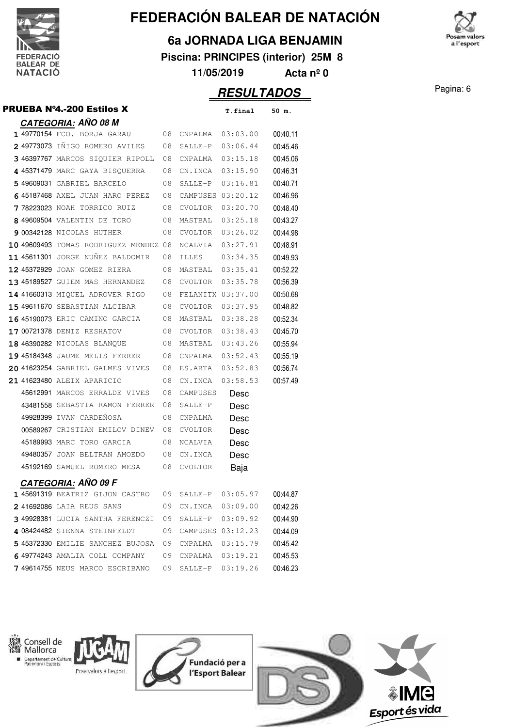

#### **6a JORNADA LIGA BENJAMIN**

**Piscina: PRINCIPES (interior) 25M 8**

**11/05/2019 Acta nº 0**

### **RESULTADOS** Pagina: 6

|  | <b>PRUEBA N°4.-200 Estilos X</b>       |    |                     | T.final  | 50 m.    |
|--|----------------------------------------|----|---------------------|----------|----------|
|  | <b>CATEGORIA: AÑO 08 M</b>             |    |                     |          |          |
|  | 1 49770154 FCO. BORJA GARAU            |    | 08 CNPALMA 03:03.00 |          | 00:40.11 |
|  | <b>2 49773073</b> IÑIGO ROMERO AVILES  | 08 | SALLE-P 03:06.44    |          | 00:45.46 |
|  | 3 46397767 MARCOS SIQUIER RIPOLL       | 08 |                     |          | 00:45.06 |
|  | 4 45371479 MARC GAYA BISQUERRA         | 08 | CN.INCA 03:15.90    |          | 00:46.31 |
|  | 5 49609031 GABRIEL BARCELO             | 08 | SALLE-P 03:16.81    |          | 00:40.71 |
|  | 6 45187468 AXEL JUAN HARO PEREZ        | 08 | CAMPUSES 03:20.12   |          | 00:46.96 |
|  | 778223023 NOAH TORRICO RUIZ            | 08 | CVOLTOR 03:20.70    |          | 00:48.40 |
|  | 8 49609504 VALENTIN DE TORO            | 08 | MASTBAL 03:25.18    |          | 00:43.27 |
|  | 9 00342128 NICOLAS HUTHER              | 08 | CVOLTOR 03:26.02    |          | 00:44.98 |
|  | 10 49609493 TOMAS RODRIGUEZ MENDEZ 08  |    | NCALVIA 03:27.91    |          | 00:48.91 |
|  | 11 45611301 JORGE NUNEZ BALDOMIR       | 08 | ILLES               | 03:34.35 | 00:49.93 |
|  | 12 45372929 JOAN GOMEZ RIERA           | 08 | MASTBAL 03:35.41    |          | 00:52.22 |
|  | 13 45189527 GUIEM MAS HERNANDEZ        | 08 | CVOLTOR             | 03:35.78 | 00:56.39 |
|  | 14 41660313 MIQUEL ADROVER RIGO        | 08 | FELANITX 03:37.00   |          | 00:50.68 |
|  | 15 49611670 SEBASTIAN ALCIBAR          | 08 | CVOLTOR 03:37.95    |          | 00:48.82 |
|  | <b>16 45190073</b> ERIC CAMINO GARCIA  | 08 | MASTBAL 03:38.28    |          | 00:52.34 |
|  | 17 00721378 DENIZ RESHATOV             | 08 | CVOLTOR 03:38.43    |          | 00:45.70 |
|  | 18 46390282 NICOLAS BLANQUE            | 08 | MASTBAL 03:43.26    |          | 00:55.94 |
|  |                                        | 08 | CNPALMA 03:52.43    |          | 00:55.19 |
|  | 20 41623254 GABRIEL GALMES VIVES       | 08 | ES.ARTA 03:52.83    |          | 00:56.74 |
|  | 21 41623480 ALEIX APARICIO             | 08 | CN.INCA             | 03:58.53 | 00:57.49 |
|  | 45612991 MARCOS ERRALDE VIVES          | 08 | CAMPUSES            | Desc     |          |
|  | 43481558 SEBASTIA RAMON FERRER         | 08 | SALLE-P             | Desc     |          |
|  | 49928399 IVAN CARDEÑOSA                | 08 | CNPALMA             | Desc     |          |
|  | 00589267 CRISTIAN EMILOV DINEV         | 08 | CVOLTOR             | Desc     |          |
|  | 45189993 MARC TORO GARCIA              | 08 | NCALVIA             | Desc     |          |
|  | 49480357 JOAN BELTRAN AMOEDO           | 08 | CN.INCA             | Desc     |          |
|  | 45192169 SAMUEL ROMERO MESA 08         |    | <b>CVOLTOR</b>      | Baja     |          |
|  | <u>CATEGOR</u> IA: AÑO 09 F            |    |                     |          |          |
|  | <b>1 45691319</b> BEATRIZ GIJON CASTRO | 09 | SALLE-P             | 03:05.97 | 00:44.87 |
|  | 241692086 LAIA REUS SANS               | 09 | CN.INCA             | 03:09.00 | 00:42.26 |
|  | 3 49928381 LUCIA SANTHA FERENCZI       | 09 | SALLE-P 03:09.92    |          | 00:44.90 |
|  | 4 08424482 SIENNA STEINFELDT           | 09 | CAMPUSES 03:12.23   |          | 00:44.09 |
|  | 5 45372330 EMILIE SANCHEZ BUJOSA       | 09 | CNPALMA 03:15.79    |          | 00:45.42 |
|  | 6 49774243 AMALIA COLL COMPANY         | 09 | CNPALMA 03:19.21    |          | 00:45.53 |
|  | 7 49614755 NEUS MARCO ESCRIBANO        | 09 | SALLE-P             | 03:19.26 | 00:46.23 |
|  |                                        |    |                     |          |          |



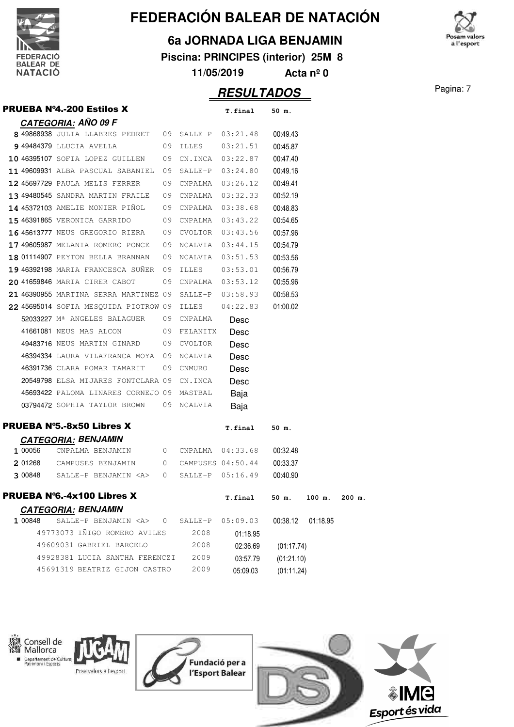

#### **6a JORNADA LIGA BENJAMIN**

**Piscina: PRINCIPES (interior) 25M 8**

**11/05/2019 Acta nº 0**

## **RESULTADOS** Pagina: 7

|         | <b>PRUEBA Nº4.-200 Estilos X</b>                                       |    |         | T.final              | 50 m.      |          |          |
|---------|------------------------------------------------------------------------|----|---------|----------------------|------------|----------|----------|
|         | <b>CATEGORIA: AÑO 09 F</b>                                             |    |         |                      |            |          |          |
|         | 8 49868938 JULIA LLABRES PEDRET 09 SALLE-P 03:21.48                    |    |         |                      | 00:49.43   |          |          |
|         | 9 49484379 LLUCIA AVELLA 09 ILLES                                      |    |         | 03:21.51             | 00:45.87   |          |          |
|         | 10 46395107 SOFIA LOPEZ GUILLEN 09 CN.INCA 03:22.87                    |    |         |                      | 00:47.40   |          |          |
|         | 11 49609931 ALBA PASCUAL SABANIEL 09 SALLE-P 03:24.80                  |    |         |                      | 00:49.16   |          |          |
|         | 12 45697729 PAULA MELIS FERRER                                         |    |         | 09 CNPALMA 03:26.12  | 00:49.41   |          |          |
|         | 13 49480545 SANDRA MARTIN FRAILE 09 CNPALMA 03:32.33                   |    |         |                      | 00:52.19   |          |          |
|         | 14 45372103 AMELIE MONIER PIÑOL 09 CNPALMA 03:38.68                    |    |         |                      | 00:48.83   |          |          |
|         | 15 46391865 VERONICA GARRIDO                                           |    |         | 09 CNPALMA 03:43.22  | 00:54.65   |          |          |
|         | 16 45613777 NEUS GREGORIO RIERA 09 CVOLTOR 03:43.56                    |    |         |                      | 00:57.96   |          |          |
|         | $17\,49605987$ Melania romero ponce $\,$ 09 ncalvia $\,$ 03:44.15 $\,$ |    |         |                      | 00:54.79   |          |          |
|         | 18 01114907 PEYTON BELLA BRANNAN 09 NCALVIA 03:51.53                   |    |         |                      | 00:53.56   |          |          |
|         | 19 46392198 MARIA FRANCESCA SUNER 09 ILLES 03:53.01                    |    |         |                      | 00:56.79   |          |          |
|         | 20 41659846 MARIA CIRER CABOT                                          | 09 |         |                      | 00:55.96   |          |          |
|         | 21 46390955 MARTINA SERRA MARTINEZ 09 SALLE-P                          |    |         | 03:58.93             | 00:58.53   |          |          |
|         | 22 45695014 SOFIA MESQUIDA PIOTROW 09 ILLES                            |    |         | 04:22.83             | 01:00.02   |          |          |
|         | 52033227 Mª ANGELES BALAGUER 09 CNPALMA                                |    |         | Desc                 |            |          |          |
|         | 41661081 NEUS MAS ALCON 09 FELANITX                                    |    |         | Desc                 |            |          |          |
|         | 49483716 NEUS MARTIN GINARD 09 CVOLTOR                                 |    |         | Desc                 |            |          |          |
|         | 46394334 LAURA VILAFRANCA MOYA 09 NCALVIA                              |    |         | Desc                 |            |          |          |
|         | 46391736 CLARA POMAR TAMARIT 09 CNMURO                                 |    |         | Desc                 |            |          |          |
|         | 20549798 ELSA MIJARES FONTCLARA 09 CN.INCA                             |    |         | Desc                 |            |          |          |
|         | 45693422 PALOMA LINARES CORNEJO 09 MASTBAL                             |    |         | Baja                 |            |          |          |
|         | 03794472 SOPHIA TAYLOR BROWN 09 NCALVIA                                |    |         | Baja                 |            |          |          |
|         | <b>PRUEBA Nº5.-8x50 Libres X</b>                                       |    |         | T.final              | 50 m.      |          |          |
|         | <b>CATEGORIA: BENJAMIN</b>                                             |    |         |                      |            |          |          |
| 1 00056 | CNPALMA BENJAMIN 0 CNPALMA 04:33.68 00:32.48                           |    |         |                      |            |          |          |
|         | 201268 CAMPUSES BENJAMIN                                               |    |         | 0 CAMPUSES 04:50.44  | 00:33.37   |          |          |
|         | $300848$ SALLE-P BENJAMIN <a> 0</a>                                    |    |         | $SALLE-P$ $05:16.49$ | 00:40.90   |          |          |
|         | <b>PRUEBA N°6.-4x100 Libres X</b>                                      |    |         | T.final              | 50 m.      | 100 m.   | $200$ m. |
|         | <b>CATEGORIA: BENJAMIN</b>                                             |    |         |                      |            |          |          |
| 1 00848 | SALLE-P BENJAMIN <a></a>                                               | 0  | SALLE-P | 05:09.03             | 00:38.12   | 01:18.95 |          |
|         | 49773073 IÑIGO ROMERO AVILES                                           |    | 2008    | 01:18.95             |            |          |          |
|         | 49609031 GABRIEL BARCELO                                               |    | 2008    | 02:36.69             | (01:17.74) |          |          |
|         | 49928381 LUCIA SANTHA FERENCZI                                         |    | 2009    | 03:57.79             | (01:21.10) |          |          |
|         | 45691319 BEATRIZ GIJON CASTRO                                          |    | 2009    | 05:09.03             | (01:11.24) |          |          |